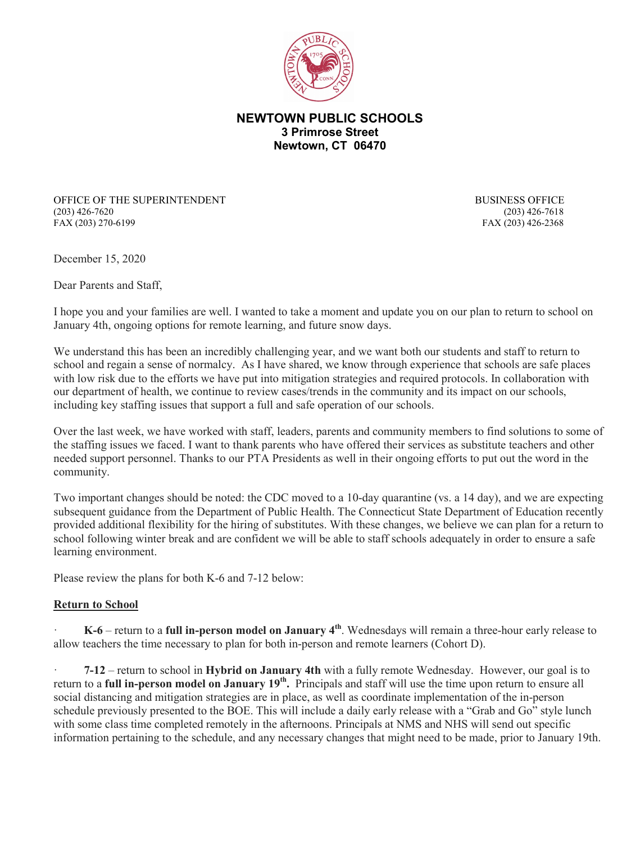

## **NEWTOWN PUBLIC SCHOOLS 3 Primrose Street Newtown, CT 06470**

OFFICE OF THE SUPERINTENDENT BUSINESS OFFICE (203) 426-7620 (203) 426-7618 FAX (203) 270-6199 FAX (203) 426-2368

December 15, 2020

Dear Parents and Staff,

I hope you and your families are well. I wanted to take a moment and update you on our plan to return to school on January 4th, ongoing options for remote learning, and future snow days.

We understand this has been an incredibly challenging year, and we want both our students and staff to return to school and regain a sense of normalcy. As I have shared, we know through experience that schools are safe places with low risk due to the efforts we have put into mitigation strategies and required protocols. In collaboration with our department of health, we continue to review cases/trends in the community and its impact on our schools, including key staffing issues that support a full and safe operation of our schools.

Over the last week, we have worked with staff, leaders, parents and community members to find solutions to some of the staffing issues we faced. I want to thank parents who have offered their services as substitute teachers and other needed support personnel. Thanks to our PTA Presidents as well in their ongoing efforts to put out the word in the community.

Two important changes should be noted: the CDC moved to a 10-day quarantine (vs. a 14 day), and we are expecting subsequent guidance from the Department of Public Health. The Connecticut State Department of Education recently provided additional flexibility for the hiring of substitutes. With these changes, we believe we can plan for a return to school following winter break and are confident we will be able to staff schools adequately in order to ensure a safe learning environment.

Please review the plans for both K-6 and 7-12 below:

## **Return to School**

· **K-6** – return to a **full in-person model on January 4th**. Wednesdays will remain a three-hour early release to allow teachers the time necessary to plan for both in-person and remote learners (Cohort D).

· **7-12** – return to school in **Hybrid on January 4th** with a fully remote Wednesday. However, our goal is to return to a **full in-person model on January 19th.** Principals and staff will use the time upon return to ensure all social distancing and mitigation strategies are in place, as well as coordinate implementation of the in-person schedule previously presented to the BOE. This will include a daily early release with a "Grab and Go" style lunch with some class time completed remotely in the afternoons. Principals at NMS and NHS will send out specific information pertaining to the schedule, and any necessary changes that might need to be made, prior to January 19th.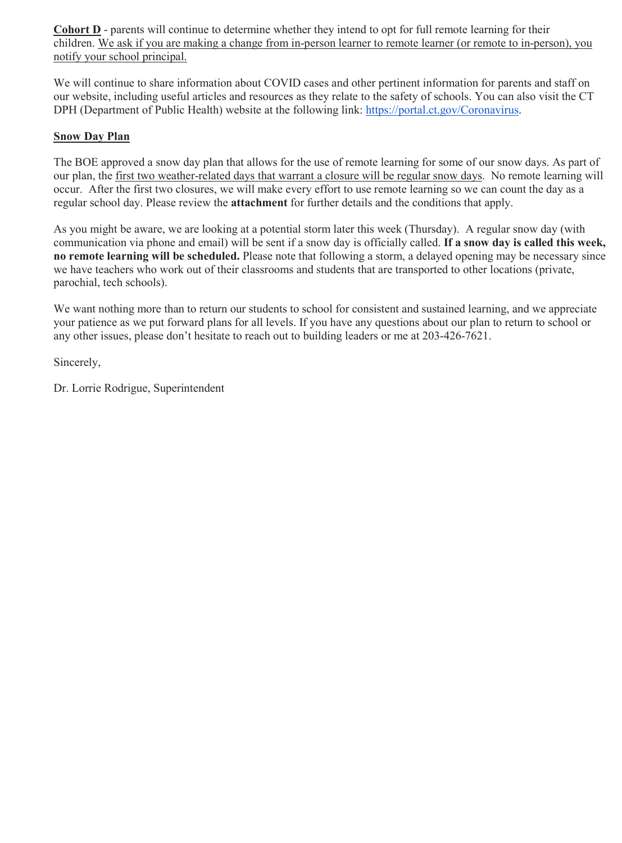**Cohort D** - parents will continue to determine whether they intend to opt for full remote learning for their children. We ask if you are making a change from in-person learner to remote learner (or remote to in-person), you notify your school principal.

We will continue to share information about COVID cases and other pertinent information for parents and staff on our website, including useful articles and resources as they relate to the safety of schools. You can also visit the CT DPH (Department of Public Health) website at the following link: [https://portal.ct.gov/Coronavirus.](http://track.spe.schoolmessenger.com/f/a/rZE9iVijjNPd_sumH4LRUg%7E%7E/AAAAAQA%7E/RgRhuiD_P0QhaHR0cHM6Ly9wb3J0YWwuY3QuZ292L0Nvcm9uYXZpcnVzVwdzY2hvb2xtQgoAR3_t2F95eqsBUhltb3JyaXNqQG5ld3Rvd24uazEyLmN0LnVzWAQAAAAB)

## **Snow Day Plan**

The BOE approved a snow day plan that allows for the use of remote learning for some of our snow days. As part of our plan, the first two weather-related days that warrant a closure will be regular snow days. No remote learning will occur. After the first two closures, we will make every effort to use remote learning so we can count the day as a regular school day. Please review the **attachment** for further details and the conditions that apply.

As you might be aware, we are looking at a potential storm later this week (Thursday). A regular snow day (with communication via phone and email) will be sent if a snow day is officially called. **If a snow day is called this week, no remote learning will be scheduled.** Please note that following a storm, a delayed opening may be necessary since we have teachers who work out of their classrooms and students that are transported to other locations (private, parochial, tech schools).

We want nothing more than to return our students to school for consistent and sustained learning, and we appreciate your patience as we put forward plans for all levels. If you have any questions about our plan to return to school or any other issues, please don't hesitate to reach out to building leaders or me at 203-426-7621.

Sincerely,

Dr. Lorrie Rodrigue, Superintendent